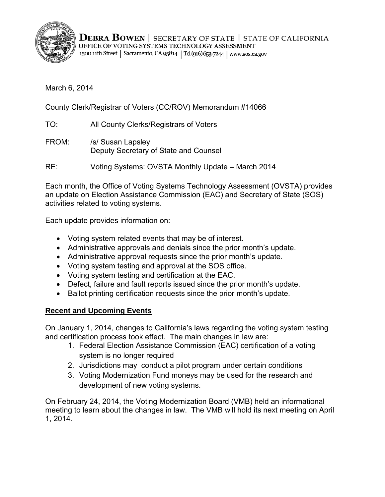

**DEBRA BOWEN** | SECRETARY OF STATE | STATE OF CALIFORNIA OFFICE OF VOTING SYSTEMS TECHNOLOGY ASSESSMENT 1500 11th Street | Sacramento, CA 95814 | Tel (916) 653-7244 | www.sos.ca.gov

March 6, 2014

County Clerk/Registrar of Voters (CC/ROV) Memorandum #14066

TO: All County Clerks/Registrars of Voters

FROM: /s/ Susan Lapsley Deputy Secretary of State and Counsel

RE: Voting Systems: OVSTA Monthly Update – March 2014

Each month, the Office of Voting Systems Technology Assessment (OVSTA) provides an update on Election Assistance Commission (EAC) and Secretary of State (SOS) activities related to voting systems.

Each update provides information on:

- Voting system related events that may be of interest.
- Administrative approvals and denials since the prior month's update.
- Administrative approval requests since the prior month's update.
- Voting system testing and approval at the SOS office.
- Voting system testing and certification at the EAC.
- Defect, failure and fault reports issued since the prior month's update.
- Ballot printing certification requests since the prior month's update.

# **Recent and Upcoming Events**

On January 1, 2014, changes to California's laws regarding the voting system testing and certification process took effect. The main changes in law are:

- 1. Federal Election Assistance Commission (EAC) certification of a voting system is no longer required
- 2. Jurisdictions may conduct a pilot program under certain conditions
- 3. Voting Modernization Fund moneys may be used for the research and development of new voting systems.

On February 24, 2014, the Voting Modernization Board (VMB) held an informational meeting to learn about the changes in law. The VMB will hold its next meeting on April 1, 2014.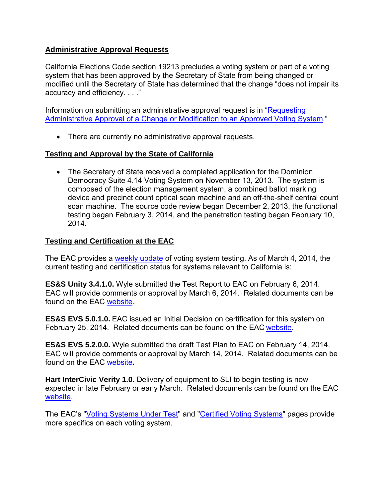# **Administrative Approval Requests**

California Elections Code section 19213 precludes a voting system or part of a voting system that has been approved by the Secretary of State from being changed or modified until the Secretary of State has determined that the change "does not impair its accuracy and efficiency. . . ."

Information on submitting an administrative approval request is in ["Requesting](http://www.sos.ca.gov/voting-systems/cert-and-approval/vsysapproval/admin-approval-requirements2012.pdf)  [Administrative Approval of a Change or Modification to an Approved Voting System.](http://www.sos.ca.gov/voting-systems/cert-and-approval/vsysapproval/admin-approval-requirements2012.pdf)"

• There are currently no administrative approval requests.

## **Testing and Approval by the State of California**

• The Secretary of State received a completed application for the Dominion Democracy Suite 4.14 Voting System on November 13, 2013. The system is composed of the election management system, a combined ballot marking device and precinct count optical scan machine and an off-the-shelf central count scan machine. The source code review began December 2, 2013, the functional testing began February 3, 2014, and the penetration testing began February 10, 2014.

## **Testing and Certification at the EAC**

The EAC provides a [weekly update](http://www.eac.gov/blogs/voting_system_testing_update_3414/) of voting system testing. As of March 4, 2014, the current testing and certification status for systems relevant to California is:

**ES&S Unity 3.4.1.0.** Wyle submitted the Test Report to EAC on February 6, 2014. EAC will provide comments or approval by March 6, 2014. Related documents can be found on the EAC [website.](http://www.eac.gov/testing_and_certification/voting_systems_under_test.aspx)

**ES&S EVS 5.0.1.0.** EAC issued an Initial Decision on certification for this system on February 25, 2014. Related documents can be found on the EAC [website.](http://www.eac.gov/testing_and_certification/voting_systems_under_test.aspx)

**ES&S EVS 5.2.0.0.** Wyle submitted the draft Test Plan to EAC on February 14, 2014. EAC will provide comments or approval by March 14, 2014. Related documents can be found on the EAC [website](http://www.eac.gov/testing_and_certification/voting_systems_under_test.aspx)**.**

**Hart InterCivic Verity 1.0.** Delivery of equipment to SLI to begin testing is now expected in late February or early March. Related documents can be found on the EAC [website.](http://www.eac.gov/testing_and_certification/voting_systems_under_test.aspx)

The EAC's ["Voting Systems Under Test"](http://www.eac.gov/testing_and_certification/voting_systems_under_test.aspx) and ["Certified Voting Systems"](http://www.eac.gov/testing_and_certification/certified_voting_systems.aspx) pages provide more specifics on each voting system.